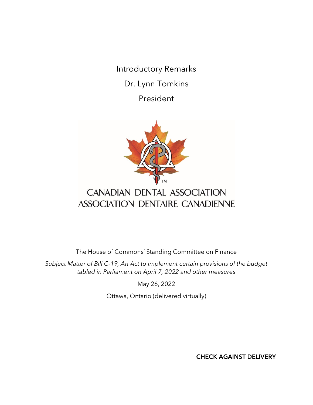Introductory Remarks Dr. Lynn Tomkins President



## CANADIAN DENTAL ASSOCIATION ASSOCIATION DENTAIRE CANADIENNE

The House of Commons' Standing Committee on Finance

*Subject Matter of Bill C-19, An Act to implement certain provisions of the budget tabled in Parliament on April 7, 2022 and other measures*

May 26, 2022

Ottawa, Ontario (delivered virtually)

CHECK AGAINST DELIVERY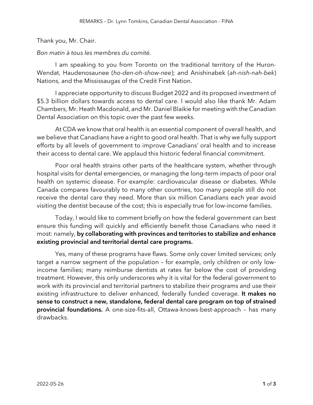## Thank you, Mr. Chair.

## *Bon matin à tous les membres du comité.*

I am speaking to you from Toronto on the traditional territory of the Huron-Wendat, Haudenosaunee (*ho-den-oh-show-nee*); and Anishinabek (*ah-nish-nah-bek*) Nations, and the Mississaugas of the Credit First Nation.

I appreciate opportunity to discuss Budget 2022 and its proposed investment of \$5.3 billion dollars towards access to dental care. I would also like thank Mr. Adam Chambers, Mr. Heath Macdonald, and Mr. Daniel Blaikie for meeting with the Canadian Dental Association on this topic over the past few weeks.

At CDA we know that oral health is an essential component of overall health, and we believe that Canadians have a right to good oral health. That is why we fully support efforts by all levels of government to improve Canadians' oral health and to increase their access to dental care. We applaud this historic federal financial commitment.

Poor oral health strains other parts of the healthcare system, whether through hospital visits for dental emergencies, or managing the long-term impacts of poor oral health on systemic disease. For example: cardiovascular disease or diabetes. While Canada compares favourably to many other countries, too many people still do not receive the dental care they need. More than six million Canadians each year avoid visiting the dentist because of the cost; this is especially true for low-income families.

Today, I would like to comment briefly on how the federal government can best ensure this funding will quickly and efficiently benefit those Canadians who need it most: namely, by collaborating with provinces and territories to stabilize and enhance existing provincial and territorial dental care programs.

Yes, many of these programs have flaws. Some only cover limited services; only target a narrow segment of the population – for example, only children or only lowincome families; many reimburse dentists at rates far below the cost of providing treatment. However, this only underscores why it is vital for the federal government to work with its provincial and territorial partners to stabilize their programs and use their existing infrastructure to deliver enhanced, federally funded coverage. It makes no sense to construct a new, standalone, federal dental care program on top of strained provincial foundations. A one-size-fits-all, Ottawa-knows-best-approach - has many drawbacks.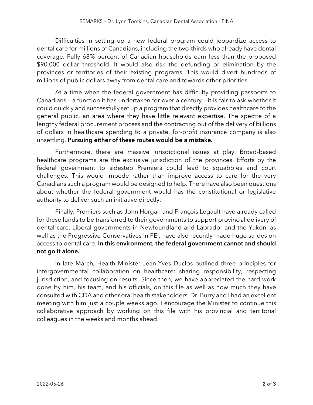Difficulties in setting up a new federal program could jeopardize access to dental care for millions of Canadians, including the two-thirds who already have dental coverage. Fully 68% percent of Canadian households earn less than the proposed \$90,000 dollar threshold. It would also risk the defunding or elimination by the provinces or territories of their existing programs. This would divert hundreds of millions of public dollars away from dental care and towards other priorities.

At a time when the federal government has difficulty providing passports to Canadians – a function it has undertaken for over a century – it is fair to ask whether it could quickly and successfully set up a program that directly provides healthcare to the general public, an area where they have little relevant expertise. The spectre of a lengthy federal procurement process and the contracting out of the delivery of billions of dollars in healthcare spending to a private, for-profit insurance company is also unsettling. Pursuing either of these routes would be a mistake.

Furthermore, there are massive jurisdictional issues at play. Broad-based healthcare programs are the exclusive jurisdiction of the provinces. Efforts by the federal government to sidestep Premiers could lead to squabbles and court challenges. This would impede rather than improve access to care for the very Canadians such a program would be designed to help. There have also been questions about whether the federal government would has the constitutional or legislative authority to deliver such an initiative directly.

Finally, Premiers such as John Horgan and François Legault have already called for these funds to be transferred to their governments to support provincial delivery of dental care. Liberal governments in Newfoundland and Labrador and the Yukon, as well as the Progressive Conservatives in PEI, have also recently made huge strides on access to dental care. In this environment, the federal government cannot and should not go it alone.

In late March, Health Minister Jean-Yves Duclos outlined three principles for intergovernmental collaboration on healthcare: sharing responsibility, respecting jurisdiction, and focusing on results. Since then, we have appreciated the hard work done by him, his team, and his officials, on this file as well as how much they have consulted with CDA and other oral health stakeholders. Dr. Burry and I had an excellent meeting with him just a couple weeks ago. I encourage the Minister to continue this collaborative approach by working on this file with his provincial and territorial colleagues in the weeks and months ahead.